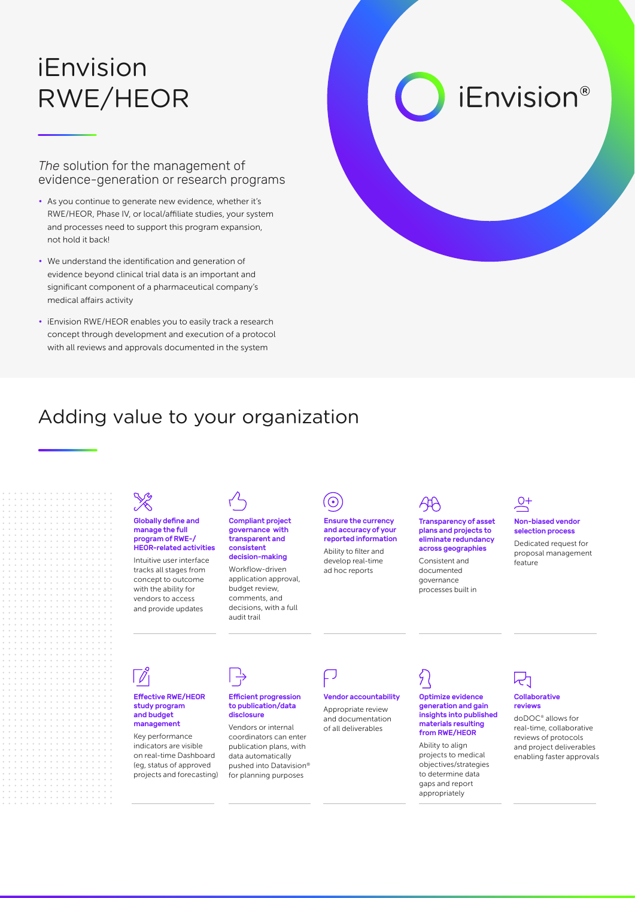## iEnvision RWE/HEOR

*The* solution for the management of evidence-generation or research programs

- As you continue to generate new evidence, whether it's RWE/HEOR, Phase IV, or local/affiliate studies, your system and processes need to support this program expansion, not hold it back!
- We understand the identification and generation of evidence beyond clinical trial data is an important and significant component of a pharmaceutical company's medical affairs activity
- iEnvision RWE/HEOR enables you to easily track a research concept through development and execution of a protocol with all reviews and approvals documented in the system

# *iEnvision®*

### Adding value to your organization



#### Globally define and manage the full program of RWE-/ HEOR-related activities

Intuitive user interface tracks all stages from concept to outcome with the ability for vendors to access and provide updates



#### Compliant project governance with transparent and consistent decision-making

Workflow-driven application approval, budget review, comments, and decisions, with a full audit trail



ad hoc reports

Ensure the currency and accuracy of your reported information Ability to filter and develop real-time

### 44

Transparency of asset plans and projects to eliminate redundancy across geographies

Consistent and documented governance processes built in

### $O+$

Non-biased vendor selection process Dedicated request for proposal management feature

#### Effective RWE/HEOR study program and budget management

Key performance indicators are visible on real-time Dashboard (eg, status of approved projects and forecasting)



#### Efficient progression to publication/data disclosure

Vendors or internal coordinators can enter publication plans, with data automatically pushed into Datavision® for planning purposes

Vendor accountability Appropriate review and documentation of all deliverables

### Optimize evidence generation and gain insights into published

materials resulting from RWE/HEOR Ability to align projects to medical objectives/strategies to determine data

gaps and report appropriately

#### Collaborative reviews

doDOC® allows for real-time, collaborative reviews of protocols and project deliverables enabling faster approvals